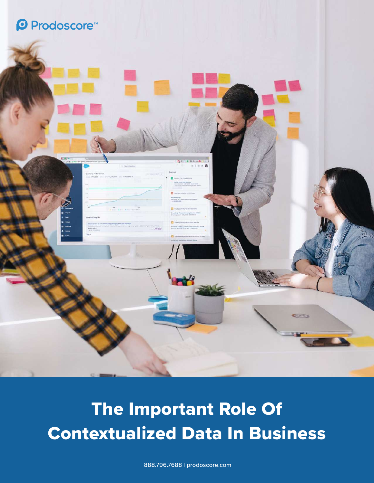### **©** Prodoscore<sup>™</sup>



## The Important Role Of Contextualized Data In Business

888.796.7688 | prodoscore.com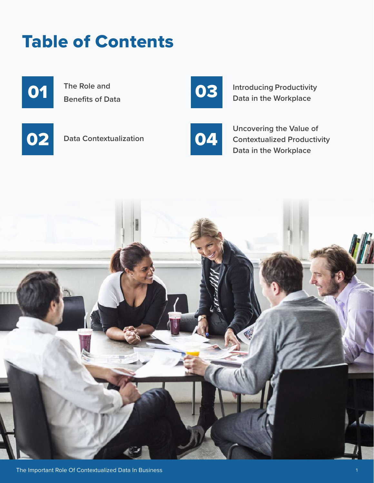# O2 Data Contextualization 04

**The Role and** 

**Benefits of Data**

01

# Table of Contents

03

**Introducing Productivity Data in the Workplace**



**Uncovering the Value of Contextualized Productivity Data in the Workplace**

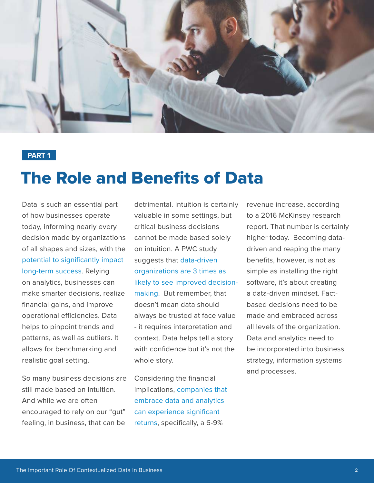

### The Role and Benefits of Data

Data is such an essential part of how businesses operate today, informing nearly every decision made by organizations of all shapes and sizes, with the [potential to significantly impact](https://www.forbes.com/sites/forbesagencycouncil/2019/10/01/the-age-of-analytics-and-the-importance-of-data-quality/?sh=5010d70c5c3c)  [long-term success.](https://www.forbes.com/sites/forbesagencycouncil/2019/10/01/the-age-of-analytics-and-the-importance-of-data-quality/?sh=5010d70c5c3c) Relying on analytics, businesses can make smarter decisions, realize financial gains, and improve operational efficiencies. Data helps to pinpoint trends and patterns, as well as outliers. It allows for benchmarking and realistic goal setting.

So many business decisions are still made based on intuition. And while we are often encouraged to rely on our "gut" feeling, in business, that can be

detrimental. Intuition is certainly valuable in some settings, but critical business decisions cannot be made based solely on intuition. A PWC study suggests that [data-driven](https://online.hbs.edu/blog/post/data-driven-decision-making)  [organizations are 3 times as](https://online.hbs.edu/blog/post/data-driven-decision-making)  [likely to see improved decision](https://online.hbs.edu/blog/post/data-driven-decision-making)[making](https://online.hbs.edu/blog/post/data-driven-decision-making). But remember, that doesn't mean data should always be trusted at face value - it requires interpretation and context. Data helps tell a story with confidence but it's not the whole story.

Considering the financial implications, [companies that](https://online.hbs.edu/blog/post/importance-of-business-analytics)  [embrace data and analytics](https://online.hbs.edu/blog/post/importance-of-business-analytics)  [can experience significant](https://online.hbs.edu/blog/post/importance-of-business-analytics)  [returns,](https://online.hbs.edu/blog/post/importance-of-business-analytics) specifically, a 6-9%

revenue increase, according to a 2016 McKinsey research report. That number is certainly higher today. Becoming datadriven and reaping the many benefits, however, is not as simple as installing the right software, it's about creating a data-driven mindset. Factbased decisions need to be made and embraced across all levels of the organization. Data and analytics need to be incorporated into business strategy, information systems and processes.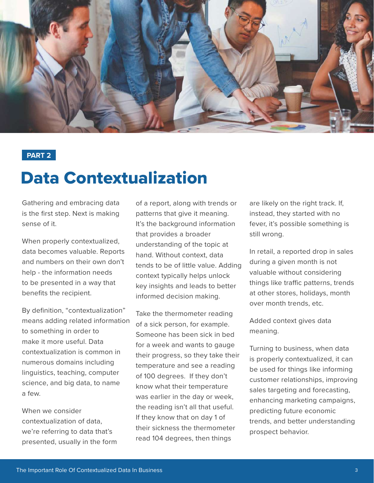

### Data Contextualization

Gathering and embracing data is the first step. Next is making sense of it.

When properly contextualized, data becomes valuable. Reports and numbers on their own don't help - the information needs to be presented in a way that benefits the recipient.

By definition, "contextualization" means adding related information to something in order to make it more useful. Data contextualization is common in numerous domains including linguistics, teaching, computer science, and big data, to name a few.

When we consider contextualization of data, we're referring to data that's presented, usually in the form of a report, along with trends or patterns that give it meaning. It's the background information that provides a broader understanding of the topic at hand. Without context, data tends to be of little value. Adding context typically helps unlock key insights and leads to better informed decision making.

Take the thermometer reading of a sick person, for example. Someone has been sick in bed for a week and wants to gauge their progress, so they take their temperature and see a reading of 100 degrees. If they don't know what their temperature was earlier in the day or week, the reading isn't all that useful. If they know that on day 1 of their sickness the thermometer read 104 degrees, then things

are likely on the right track. If, instead, they started with no fever, it's possible something is still wrong.

In retail, a reported drop in sales during a given month is not valuable without considering things like traffic patterns, trends at other stores, holidays, month over month trends, etc.

Added context gives data meaning.

Turning to business, when data is properly contextualized, it can be used for things like informing customer relationships, improving sales targeting and forecasting, enhancing marketing campaigns, predicting future economic trends, and better understanding prospect behavior.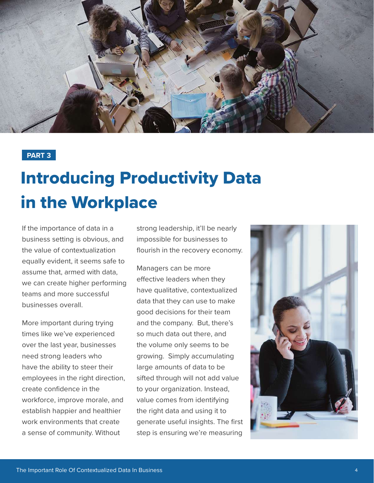

## Introducing Productivity Data in the Workplace

If the importance of data in a business setting is obvious, and the value of contextualization equally evident, it seems safe to assume that, armed with data, we can create higher performing teams and more successful businesses overall.

More important during trying times like we've experienced over the last year, businesses need strong leaders who have the ability to steer their employees in the right direction, create confidence in the workforce, improve morale, and establish happier and healthier work environments that create a sense of community. Without

strong leadership, it'll be nearly impossible for businesses to flourish in the recovery economy.

Managers can be more effective leaders when they have qualitative, contextualized data that they can use to make good decisions for their team and the company. But, there's so much data out there, and the volume only seems to be growing. Simply accumulating large amounts of data to be sifted through will not add value to your organization. Instead, value comes from identifying the right data and using it to generate useful insights. The first step is ensuring we're measuring

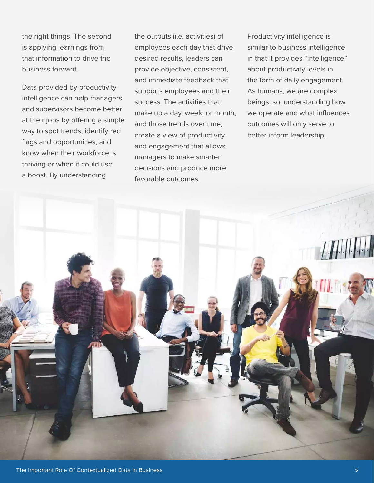the right things. The second is applying learnings from that information to drive the business forward.

Data provided by productivity intelligence can help managers and supervisors become better at their jobs by offering a simple way to spot trends, identify red flags and opportunities, and know when their workforce is thriving or when it could use a boost. By understanding

the outputs (i.e. activities) of employees each day that drive desired results, leaders can provide objective, consistent, and immediate feedback that supports employees and their success. The activities that make up a day, week, or month, and those trends over time, create a view of productivity and engagement that allows managers to make smarter decisions and produce more favorable outcomes.

Productivity intelligence is similar to business intelligence in that it provides "intelligence" about productivity levels in the form of daily engagement. As humans, we are complex beings, so, understanding how we operate and what influences outcomes will only serve to better inform leadership.

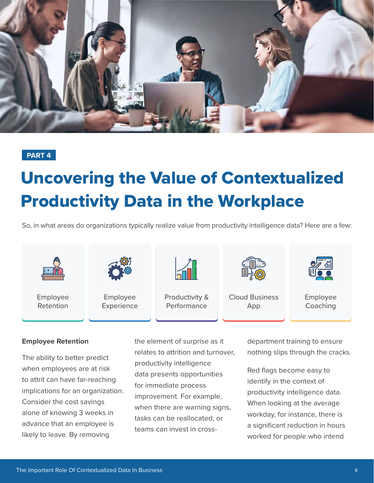

## Uncovering the Value of Contextualized Productivity Data in the Workplace

So, in what areas do organizations typically realize value from productivity intelligence data? Here are a few:



#### **Employee Retention**

The ability to better predict when employees are at risk to attrit can have far-reaching implications for an organization. Consider the cost savings alone of knowing 3 weeks in advance that an employee is likely to leave. By removing

the element of surprise as it relates to attrition and turnover, productivity intelligence data presents opportunities for immediate process improvement. For example, when there are warning signs, tasks can be reallocated, or teams can invest in crossdepartment training to ensure nothing slips through the cracks.

Red flags become easy to identify in the context of productivity intelligence data. When looking at the average workday, for instance, there is a significant reduction in hours worked for people who intend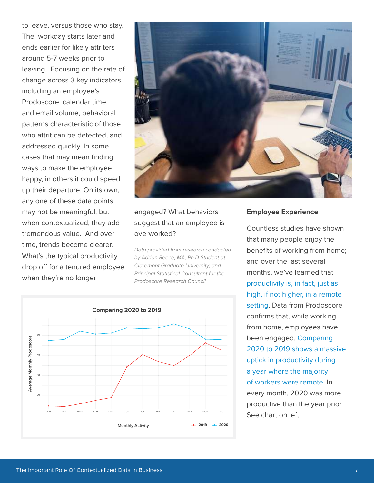to leave, versus those who stay. The workday starts later and ends earlier for likely attriters around 5-7 weeks prior to leaving. Focusing on the rate of change across 3 key indicators including an employee's Prodoscore, calendar time, and email volume, behavioral patterns characteristic of those who attrit can be detected, and addressed quickly. In some cases that may mean finding ways to make the employee happy, in others it could speed up their departure. On its own, any one of these data points may not be meaningful, but when contextualized, they add tremendous value. And over time, trends become clearer. What's the typical productivity drop off for a tenured employee when they're no longer



#### engaged? What behaviors suggest that an employee is overworked?

*Data provided from research conducted by Adrian Reece, MA, Ph.D Student at Claremont Graduate University, and Principal Statistical Consultant for the Prodoscore Research Council* 



#### **Employee Experience**

Countless studies have shown that many people enjoy the benefits of working from home; and over the last several months, we've learned that [productivity is, in fact, just as](https://hbr.org/2020/08/research-knowledge-workers-are-more-productive-from-home)  [high, if not higher, in a remote](https://hbr.org/2020/08/research-knowledge-workers-are-more-productive-from-home)  [setting.](https://hbr.org/2020/08/research-knowledge-workers-are-more-productive-from-home) Data from Prodoscore confirms that, while working from home, employees have been engaged. [Comparing](https://www.prodoscore.com/press-releases/prodoscore-research-council-data-confirms-shifting-workday-patterns-productivity/)  [2020 to 2019 shows a massive](https://www.prodoscore.com/press-releases/prodoscore-research-council-data-confirms-shifting-workday-patterns-productivity/)  [uptick in productivity during](https://www.prodoscore.com/press-releases/prodoscore-research-council-data-confirms-shifting-workday-patterns-productivity/)  [a year where the majority](https://www.prodoscore.com/press-releases/prodoscore-research-council-data-confirms-shifting-workday-patterns-productivity/)  [of workers were remote](https://www.prodoscore.com/press-releases/prodoscore-research-council-data-confirms-shifting-workday-patterns-productivity/). In every month, 2020 was more productive than the year prior. See chart on left.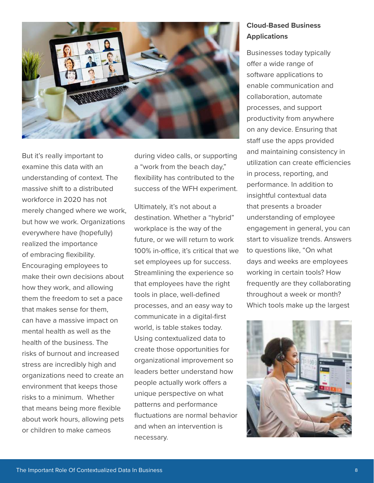

But it's really important to examine this data with an understanding of context. The massive shift to a distributed workforce in 2020 has not merely changed where we work, but how we work. Organizations everywhere have (hopefully) realized the importance of embracing flexibility. Encouraging employees to make their own decisions about how they work, and allowing them the freedom to set a pace that makes sense for them, can have a massive impact on mental health as well as the health of the business. The risks of burnout and increased stress are incredibly high and organizations need to create an environment that keeps those risks to a minimum. Whether that means being more flexible about work hours, allowing pets or children to make cameos

during video calls, or supporting a "work from the beach day," flexibility has contributed to the success of the WFH experiment.

Ultimately, it's not about a destination. Whether a "hybrid" workplace is the way of the future, or we will return to work 100% in-office, it's critical that we set employees up for success. Streamlining the experience so that employees have the right tools in place, well-defined processes, and an easy way to communicate in a digital-first world, is table stakes today. Using contextualized data to create those opportunities for organizational improvement so leaders better understand how people actually work offers a unique perspective on what patterns and performance fluctuations are normal behavior and when an intervention is necessary.

#### **Cloud-Based Business Applications**

Businesses today typically offer a wide range of software applications to enable communication and collaboration, automate processes, and support productivity from anywhere on any device. Ensuring that staff use the apps provided and maintaining consistency in utilization can create efficiencies in process, reporting, and performance. In addition to insightful contextual data that presents a broader understanding of employee engagement in general, you can start to visualize trends. Answers to questions like, "On what days and weeks are employees working in certain tools? How frequently are they collaborating throughout a week or month? Which tools make up the largest